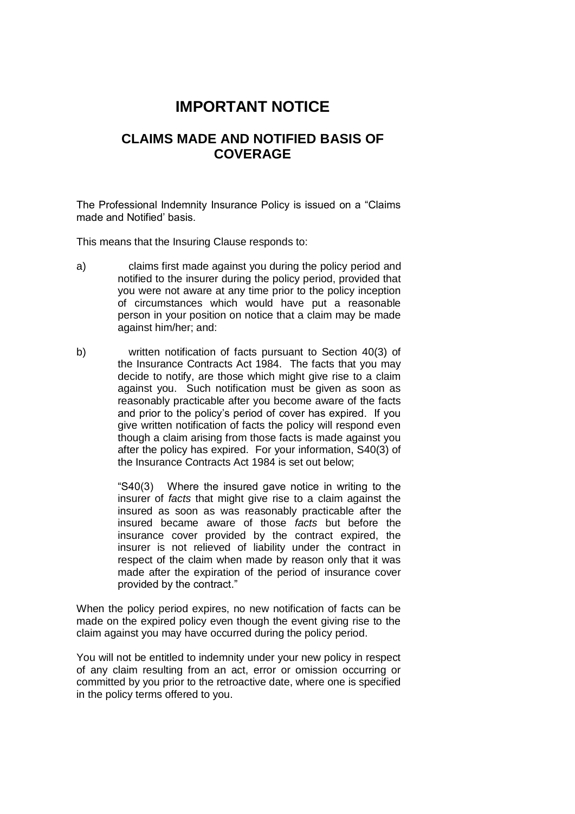# **IMPORTANT NOTICE**

## **CLAIMS MADE AND NOTIFIED BASIS OF COVERAGE**

The Professional Indemnity Insurance Policy is issued on a "Claims made and Notified' basis.

This means that the Insuring Clause responds to:

- a) claims first made against you during the policy period and notified to the insurer during the policy period, provided that you were not aware at any time prior to the policy inception of circumstances which would have put a reasonable person in your position on notice that a claim may be made against him/her; and:
- b) written notification of facts pursuant to Section 40(3) of the Insurance Contracts Act 1984. The facts that you may decide to notify, are those which might give rise to a claim against you. Such notification must be given as soon as reasonably practicable after you become aware of the facts and prior to the policy's period of cover has expired. If you give written notification of facts the policy will respond even though a claim arising from those facts is made against you after the policy has expired. For your information, S40(3) of the Insurance Contracts Act 1984 is set out below;

"S40(3) Where the insured gave notice in writing to the insurer of *facts* that might give rise to a claim against the insured as soon as was reasonably practicable after the insured became aware of those *facts* but before the insurance cover provided by the contract expired, the insurer is not relieved of liability under the contract in respect of the claim when made by reason only that it was made after the expiration of the period of insurance cover provided by the contract."

When the policy period expires, no new notification of facts can be made on the expired policy even though the event giving rise to the claim against you may have occurred during the policy period.

You will not be entitled to indemnity under your new policy in respect of any claim resulting from an act, error or omission occurring or committed by you prior to the retroactive date, where one is specified in the policy terms offered to you.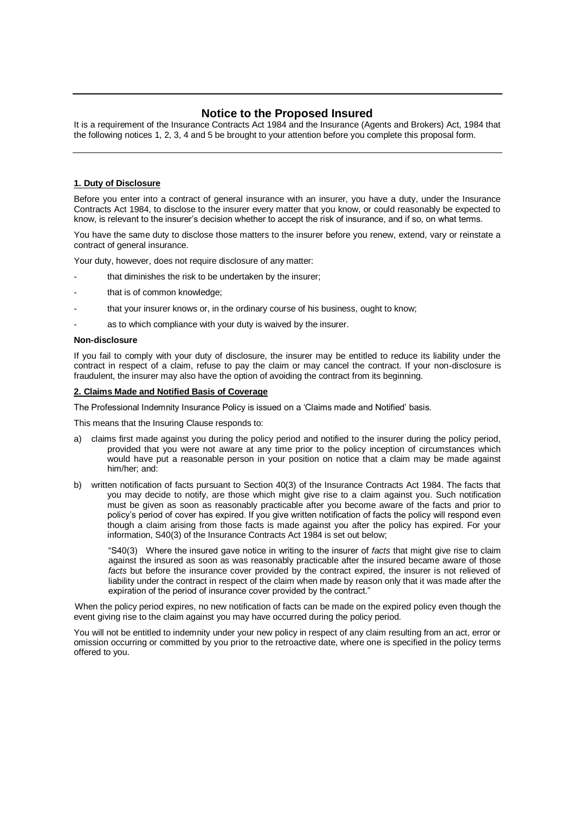### **Notice to the Proposed Insured**

It is a requirement of the Insurance Contracts Act 1984 and the Insurance (Agents and Brokers) Act, 1984 that the following notices 1, 2, 3, 4 and 5 be brought to your attention before you complete this proposal form.

#### **1. Duty of Disclosure**

Before you enter into a contract of general insurance with an insurer, you have a duty, under the Insurance Contracts Act 1984, to disclose to the insurer every matter that you know, or could reasonably be expected to know, is relevant to the insurer's decision whether to accept the risk of insurance, and if so, on what terms.

You have the same duty to disclose those matters to the insurer before you renew, extend, vary or reinstate a contract of general insurance.

Your duty, however, does not require disclosure of any matter:

- that diminishes the risk to be undertaken by the insurer;
- that is of common knowledge;
- that your insurer knows or, in the ordinary course of his business, ought to know;
- as to which compliance with your duty is waived by the insurer.

#### **Non-disclosure**

If you fail to comply with your duty of disclosure, the insurer may be entitled to reduce its liability under the contract in respect of a claim, refuse to pay the claim or may cancel the contract. If your non-disclosure is fraudulent, the insurer may also have the option of avoiding the contract from its beginning.

#### **2. Claims Made and Notified Basis of Coverage**

The Professional Indemnity Insurance Policy is issued on a 'Claims made and Notified' basis.

This means that the Insuring Clause responds to:

- a) claims first made against you during the policy period and notified to the insurer during the policy period, provided that you were not aware at any time prior to the policy inception of circumstances which would have put a reasonable person in your position on notice that a claim may be made against him/her; and:
- b) written notification of facts pursuant to Section 40(3) of the Insurance Contracts Act 1984. The facts that you may decide to notify, are those which might give rise to a claim against you. Such notification must be given as soon as reasonably practicable after you become aware of the facts and prior to policy's period of cover has expired. If you give written notification of facts the policy will respond even though a claim arising from those facts is made against you after the policy has expired. For your information, S40(3) of the Insurance Contracts Act 1984 is set out below;

"S40(3) Where the insured gave notice in writing to the insurer of *facts* that might give rise to claim against the insured as soon as was reasonably practicable after the insured became aware of those *facts* but before the insurance cover provided by the contract expired, the insurer is not relieved of liability under the contract in respect of the claim when made by reason only that it was made after the expiration of the period of insurance cover provided by the contract."

When the policy period expires, no new notification of facts can be made on the expired policy even though the event giving rise to the claim against you may have occurred during the policy period.

You will not be entitled to indemnity under your new policy in respect of any claim resulting from an act, error or omission occurring or committed by you prior to the retroactive date, where one is specified in the policy terms offered to you.